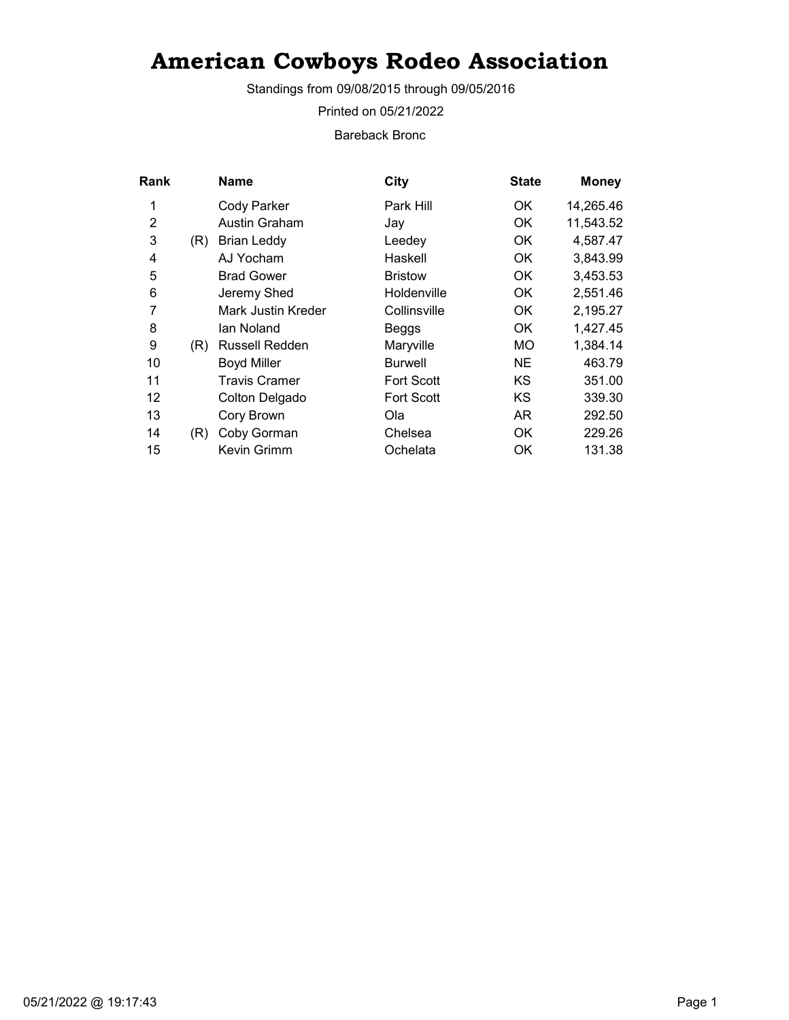Standings from 09/08/2015 through 09/05/2016

Printed on 05/21/2022

Bareback Bronc

| Rank |     | Name                 | City              | <b>State</b> | <b>Money</b> |
|------|-----|----------------------|-------------------|--------------|--------------|
| 1    |     | Cody Parker          | Park Hill         | OK.          | 14,265.46    |
| 2    |     | Austin Graham        | Jay               | OK           | 11,543.52    |
| 3    | (R) | <b>Brian Leddy</b>   | Leedey            | OK.          | 4,587.47     |
| 4    |     | AJ Yocham            | Haskell           | OK           | 3,843.99     |
| 5    |     | <b>Brad Gower</b>    | <b>Bristow</b>    | OK.          | 3,453.53     |
| 6    |     | Jeremy Shed          | Holdenville       | OK           | 2,551.46     |
| 7    |     | Mark Justin Kreder   | Collinsville      | OK.          | 2,195.27     |
| 8    |     | lan Noland           | Beggs             | OK           | 1,427.45     |
| 9    | (R) | Russell Redden       | Maryville         | MO           | 1,384.14     |
| 10   |     | <b>Boyd Miller</b>   | <b>Burwell</b>    | NE           | 463.79       |
| 11   |     | <b>Travis Cramer</b> | <b>Fort Scott</b> | KS           | 351.00       |
| 12   |     | Colton Delgado       | <b>Fort Scott</b> | ΚS           | 339.30       |
| 13   |     | Cory Brown           | Ola               | AR           | 292.50       |
| 14   | (R) | Coby Gorman          | Chelsea           | 0K           | 229.26       |
| 15   |     | Kevin Grimm          | Ochelata          | OK           | 131.38       |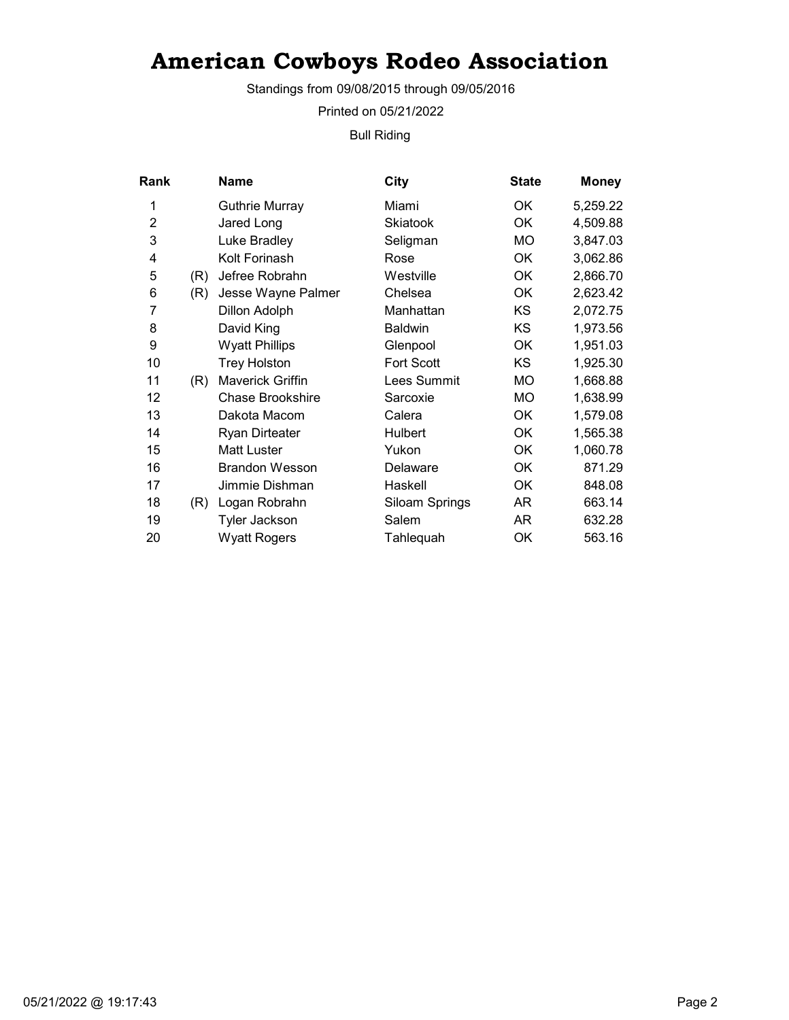Standings from 09/08/2015 through 09/05/2016

Printed on 05/21/2022

Bull Riding

| Rank           |     | Name                    | <b>City</b>       | <b>State</b> | <b>Money</b> |
|----------------|-----|-------------------------|-------------------|--------------|--------------|
| 1              |     | <b>Guthrie Murray</b>   | Miami             | OK.          | 5,259.22     |
| $\overline{2}$ |     | Jared Long              | <b>Skiatook</b>   | OK           | 4,509.88     |
| 3              |     | Luke Bradley            | Seligman          | МO           | 3,847.03     |
| 4              |     | Kolt Forinash           | Rose              | OK           | 3,062.86     |
| 5              | (R) | Jefree Robrahn          | Westville         | OK           | 2,866.70     |
| 6              | (R) | Jesse Wayne Palmer      | Chelsea           | OK           | 2,623.42     |
| 7              |     | Dillon Adolph           | Manhattan         | KS           | 2,072.75     |
| 8              |     | David King              | <b>Baldwin</b>    | KS           | 1,973.56     |
| 9              |     | <b>Wyatt Phillips</b>   | Glenpool          | OK           | 1,951.03     |
| 10             |     | <b>Trey Holston</b>     | <b>Fort Scott</b> | KS           | 1,925.30     |
| 11             | (R) | <b>Maverick Griffin</b> | Lees Summit       | MO           | 1,668.88     |
| 12             |     | <b>Chase Brookshire</b> | Sarcoxie          | МO           | 1,638.99     |
| 13             |     | Dakota Macom            | Calera            | OK           | 1,579.08     |
| 14             |     | <b>Ryan Dirteater</b>   | Hulbert           | OK           | 1,565.38     |
| 15             |     | <b>Matt Luster</b>      | Yukon             | OK           | 1,060.78     |
| 16             |     | <b>Brandon Wesson</b>   | Delaware          | OK           | 871.29       |
| 17             |     | Jimmie Dishman          | Haskell           | OK           | 848.08       |
| 18             | (R) | Logan Robrahn           | Siloam Springs    | AR           | 663.14       |
| 19             |     | Tyler Jackson           | Salem             | AR           | 632.28       |
| 20             |     | <b>Wyatt Rogers</b>     | Tahlequah         | OK           | 563.16       |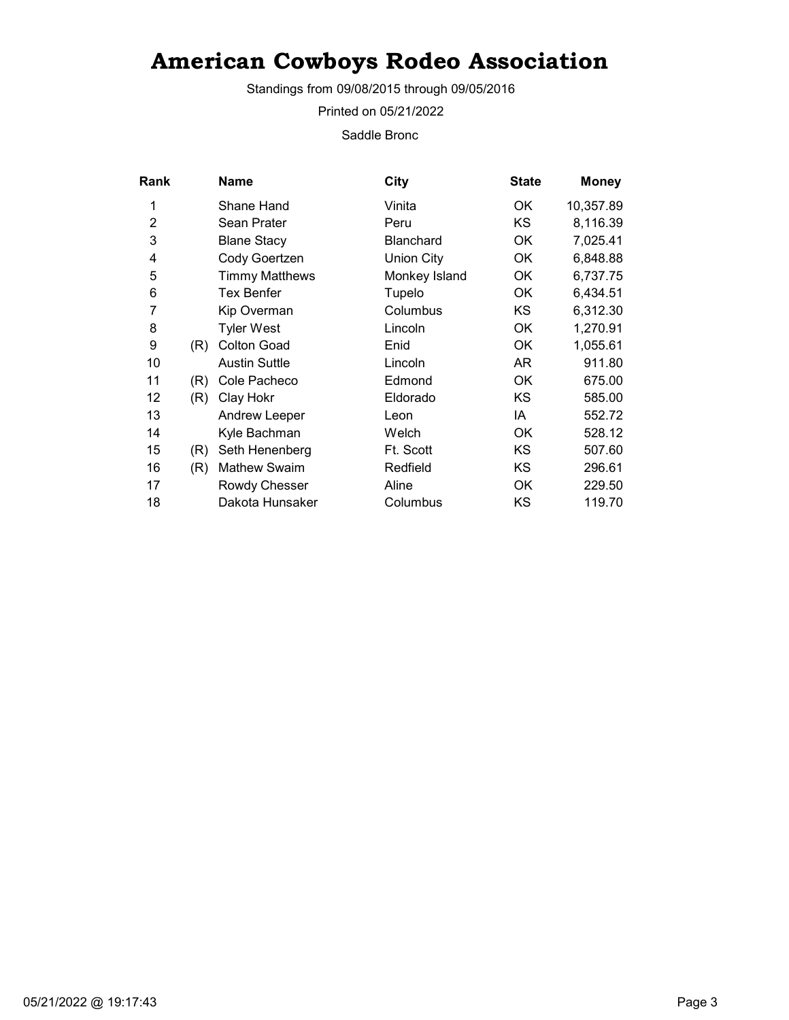Standings from 09/08/2015 through 09/05/2016

Printed on 05/21/2022

Saddle Bronc

| Rank           |     | <b>Name</b>           | City              | <b>State</b> | <b>Money</b> |
|----------------|-----|-----------------------|-------------------|--------------|--------------|
| 1              |     | Shane Hand            | Vinita            | OK.          | 10,357.89    |
| $\overline{2}$ |     | Sean Prater           | Peru              | <b>KS</b>    | 8,116.39     |
| 3              |     | <b>Blane Stacy</b>    | <b>Blanchard</b>  | OK           | 7,025.41     |
| 4              |     | Cody Goertzen         | <b>Union City</b> | OK           | 6,848.88     |
| 5              |     | <b>Timmy Matthews</b> | Monkey Island     | OK           | 6,737.75     |
| 6              |     | <b>Tex Benfer</b>     | Tupelo            | OK           | 6,434.51     |
| 7              |     | Kip Overman           | Columbus          | KS.          | 6,312.30     |
| 8              |     | <b>Tyler West</b>     | Lincoln           | OK           | 1,270.91     |
| 9              | (R) | <b>Colton Goad</b>    | Enid              | 0K           | 1,055.61     |
| 10             |     | <b>Austin Suttle</b>  | Lincoln           | AR.          | 911.80       |
| 11             | (R) | Cole Pacheco          | Edmond            | 0K           | 675.00       |
| 12             | (R) | Clay Hokr             | Eldorado          | ΚS           | 585.00       |
| 13             |     | <b>Andrew Leeper</b>  | Leon              | IA           | 552.72       |
| 14             |     | Kyle Bachman          | Welch             | 0K           | 528.12       |
| 15             | (R) | Seth Henenberg        | Ft. Scott         | KS           | 507.60       |
| 16             | (R) | <b>Mathew Swaim</b>   | Redfield          | KS           | 296.61       |
| 17             |     | Rowdy Chesser         | Aline             | 0K           | 229.50       |
| 18             |     | Dakota Hunsaker       | Columbus          | KS           | 119.70       |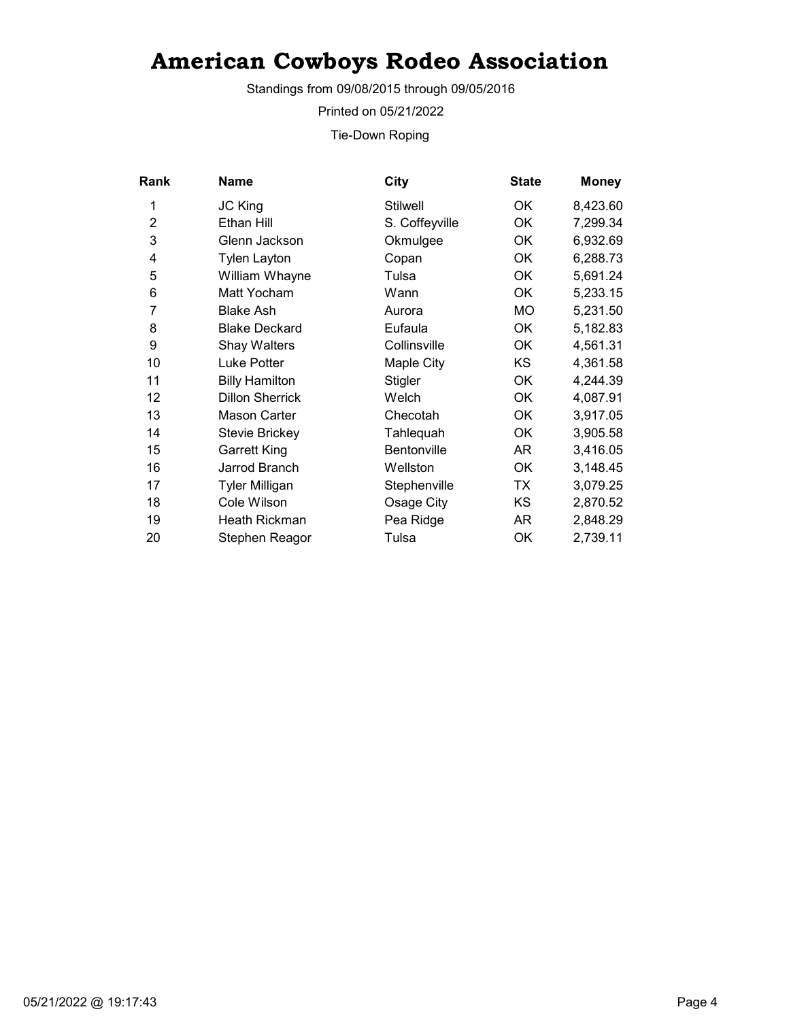Standings from 09/08/2015 through 09/05/2016

Printed on 05/21/2022

Tie-Down Roping

| Rank           | Name                   | City               | <b>State</b> | <b>Money</b> |
|----------------|------------------------|--------------------|--------------|--------------|
| 1              | JC King                | <b>Stilwell</b>    | OK           | 8,423.60     |
| $\overline{2}$ | Ethan Hill             | S. Coffeyville     | OK           | 7,299.34     |
| 3              | Glenn Jackson          | Okmulgee           | OK           | 6,932.69     |
| 4              | <b>Tylen Layton</b>    | Copan              | OK           | 6,288.73     |
| 5              | William Whayne         | Tulsa              | 0K           | 5,691.24     |
| 6              | Matt Yocham            | Wann               | OK           | 5,233.15     |
| 7              | <b>Blake Ash</b>       | Aurora             | МO           | 5,231.50     |
| 8              | <b>Blake Deckard</b>   | Eufaula            | <b>OK</b>    | 5,182.83     |
| 9              | Shay Walters           | Collinsville       | OK           | 4,561.31     |
| 10             | Luke Potter            | Maple City         | KS           | 4,361.58     |
| 11             | <b>Billy Hamilton</b>  | Stigler            | 0K           | 4,244.39     |
| 12             | <b>Dillon Sherrick</b> | Welch              | 0K           | 4,087.91     |
| 13             | <b>Mason Carter</b>    | Checotah           | 0K           | 3,917.05     |
| 14             | <b>Stevie Brickey</b>  | Tahlequah          | OK           | 3,905.58     |
| 15             | Garrett King           | <b>Bentonville</b> | AR           | 3,416.05     |
| 16             | Jarrod Branch          | Wellston           | OK.          | 3,148.45     |
| 17             | <b>Tyler Milligan</b>  | Stephenville       | TX           | 3,079.25     |
| 18             | Cole Wilson            | Osage City         | KS           | 2,870.52     |
| 19             | Heath Rickman          | Pea Ridge          | AR           | 2,848.29     |
| 20             | Stephen Reagor         | Tulsa              | OK           | 2,739.11     |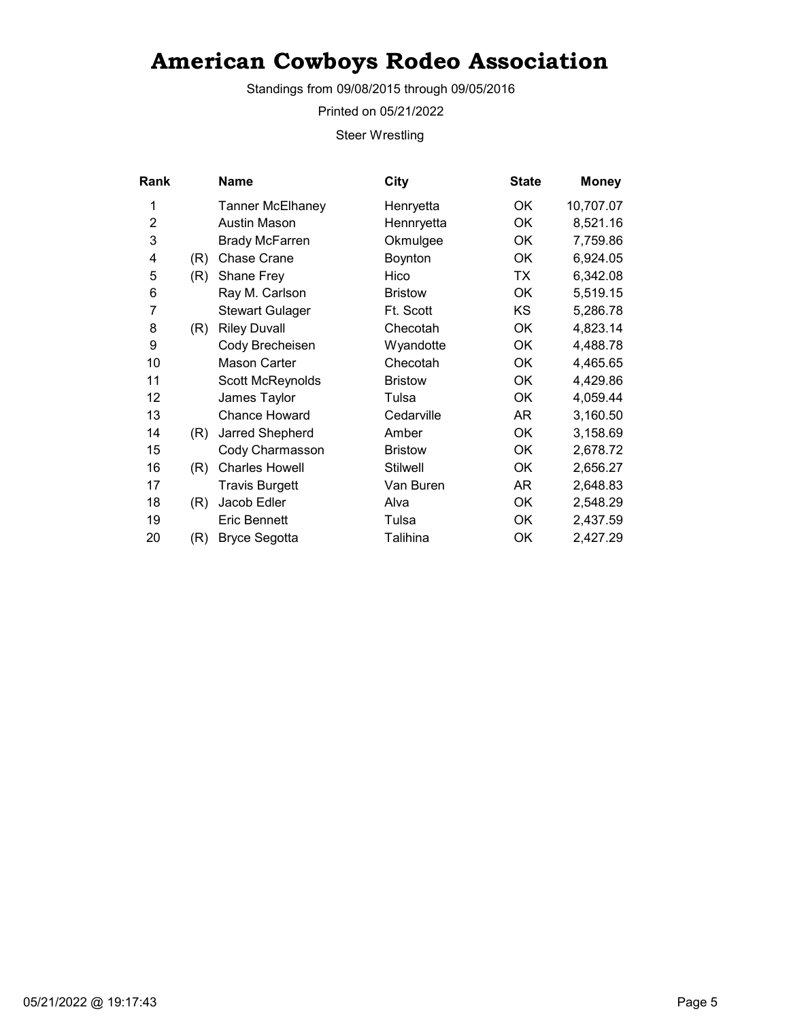Standings from 09/08/2015 through 09/05/2016

Printed on 05/21/2022

Steer Wrestling

| Rank           |     | <b>Name</b>             | City            | <b>State</b> | <b>Money</b> |
|----------------|-----|-------------------------|-----------------|--------------|--------------|
| 1              |     | <b>Tanner McElhaney</b> | Henryetta       | ОK           | 10,707.07    |
| $\overline{2}$ |     | Austin Mason            | Hennryetta      | <b>OK</b>    | 8,521.16     |
| 3              |     | <b>Brady McFarren</b>   | Okmulgee        | OK           | 7,759.86     |
| 4              | (R) | <b>Chase Crane</b>      | Boynton         | ОK           | 6,924.05     |
| 5              | (R) | <b>Shane Frey</b>       | Hico            | ТX           | 6,342.08     |
| 6              |     | Ray M. Carlson          | <b>Bristow</b>  | OK           | 5,519.15     |
| 7              |     | <b>Stewart Gulager</b>  | Ft. Scott       | KS           | 5,286.78     |
| 8              | (R) | <b>Riley Duvall</b>     | Checotah        | OK           | 4,823.14     |
| 9              |     | Cody Brecheisen         | Wyandotte       | ОK           | 4,488.78     |
| 10             |     | Mason Carter            | Checotah        | ОK           | 4,465.65     |
| 11             |     | Scott McReynolds        | <b>Bristow</b>  | OK           | 4,429.86     |
| 12             |     | James Taylor            | Tulsa           | OK           | 4,059.44     |
| 13             |     | <b>Chance Howard</b>    | Cedarville      | AR           | 3,160.50     |
| 14             | (R) | Jarred Shepherd         | Amber           | OK           | 3,158.69     |
| 15             |     | Cody Charmasson         | <b>Bristow</b>  | OK           | 2,678.72     |
| 16             | (R) | <b>Charles Howell</b>   | <b>Stilwell</b> | OK           | 2,656.27     |
| 17             |     | <b>Travis Burgett</b>   | Van Buren       | AR.          | 2,648.83     |
| 18             | (R) | Jacob Edler             | Alva            | OK           | 2,548.29     |
| 19             |     | <b>Eric Bennett</b>     | Tulsa           | OK           | 2,437.59     |
| 20             | (R) | <b>Bryce Segotta</b>    | Talihina        | OK           | 2,427.29     |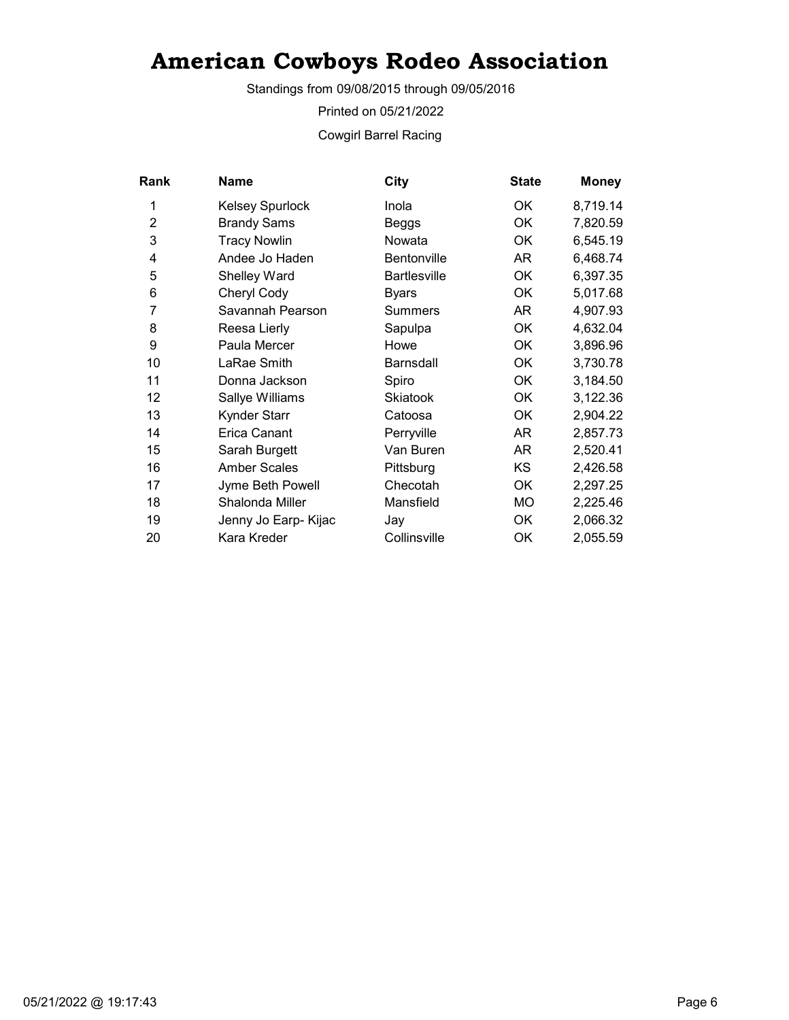Standings from 09/08/2015 through 09/05/2016

Printed on 05/21/2022

Cowgirl Barrel Racing

| Rank           | <b>Name</b>            | City             | <b>State</b> | <b>Money</b> |
|----------------|------------------------|------------------|--------------|--------------|
| 1              | <b>Kelsey Spurlock</b> | Inola            | OK           | 8,719.14     |
| $\overline{2}$ | <b>Brandy Sams</b>     | Beggs            | OK           | 7,820.59     |
| 3              | <b>Tracy Nowlin</b>    | Nowata           | 0K           | 6,545.19     |
| 4              | Andee Jo Haden         | Bentonville      | AR           | 6,468.74     |
| 5              | <b>Shelley Ward</b>    | Bartlesville     | ОK           | 6,397.35     |
| 6              | Cheryl Cody            | Byars            | OK           | 5,017.68     |
| 7              | Savannah Pearson       | Summers          | AR           | 4,907.93     |
| 8              | Reesa Lierly           | Sapulpa          | ОK           | 4,632.04     |
| 9              | Paula Mercer           | Howe             | OK           | 3,896.96     |
| 10             | LaRae Smith            | <b>Barnsdall</b> | <b>OK</b>    | 3,730.78     |
| 11             | Donna Jackson          | Spiro            | OK           | 3,184.50     |
| 12             | Sallye Williams        | <b>Skiatook</b>  | OK           | 3,122.36     |
| 13             | Kynder Starr           | Catoosa          | OK           | 2,904.22     |
| 14             | <b>Erica Canant</b>    | Perryville       | AR           | 2,857.73     |
| 15             | Sarah Burgett          | Van Buren        | AR           | 2,520.41     |
| 16             | <b>Amber Scales</b>    | Pittsburg        | KS.          | 2,426.58     |
| 17             | Jyme Beth Powell       | Checotah         | OK           | 2,297.25     |
| 18             | Shalonda Miller        | Mansfield        | MO           | 2,225.46     |
| 19             | Jenny Jo Earp- Kijac   | Jay              | OK           | 2,066.32     |
| 20             | Kara Kreder            | Collinsville     | ΟK           | 2,055.59     |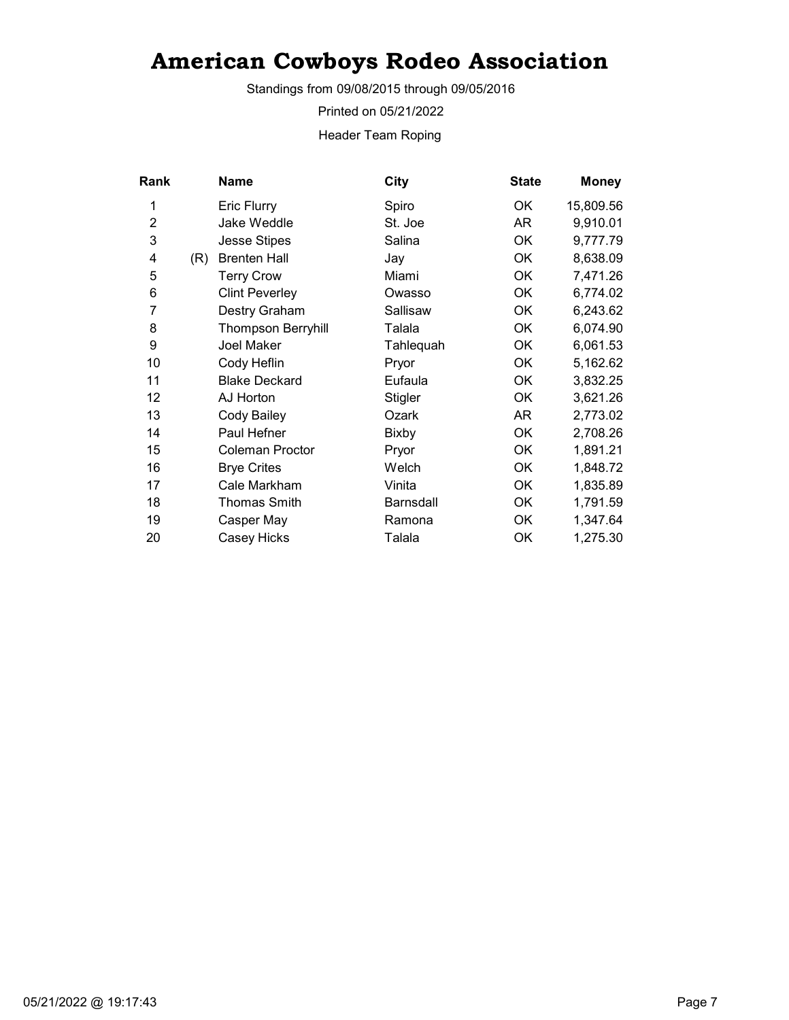Standings from 09/08/2015 through 09/05/2016

Printed on 05/21/2022

Header Team Roping

| Rank           |     | Name                      | City           | <b>State</b> | <b>Money</b> |
|----------------|-----|---------------------------|----------------|--------------|--------------|
| 1              |     | <b>Eric Flurry</b>        | Spiro          | ОK           | 15,809.56    |
| $\overline{2}$ |     | Jake Weddle               | St. Joe        | AR           | 9,910.01     |
| 3              |     | <b>Jesse Stipes</b>       | Salina         | <b>OK</b>    | 9,777.79     |
| 4              | (R) | <b>Brenten Hall</b>       | Jay            | <b>OK</b>    | 8,638.09     |
| 5              |     | <b>Terry Crow</b>         | Miami          | <b>OK</b>    | 7,471.26     |
| 6              |     | <b>Clint Peverley</b>     | Owasso         | OK           | 6,774.02     |
| 7              |     | Destry Graham             | Sallisaw       | OK           | 6,243.62     |
| 8              |     | <b>Thompson Berryhill</b> | Talala         | OK           | 6,074.90     |
| 9              |     | Joel Maker                | Tahlequah      | <b>OK</b>    | 6,061.53     |
| 10             |     | Cody Heflin               | Pryor          | OK           | 5,162.62     |
| 11             |     | <b>Blake Deckard</b>      | Eufaula        | OK           | 3,832.25     |
| 12             |     | AJ Horton                 | <b>Stigler</b> | ОK           | 3,621.26     |
| 13             |     | Cody Bailey               | Ozark          | AR           | 2,773.02     |
| 14             |     | Paul Hefner               | Bixby          | OK           | 2,708.26     |
| 15             |     | Coleman Proctor           | Pryor          | OK           | 1,891.21     |
| 16             |     | <b>Brye Crites</b>        | Welch          | OK           | 1,848.72     |
| 17             |     | Cale Markham              | Vinita         | OK           | 1,835.89     |
| 18             |     | Thomas Smith              | Barnsdall      | OK           | 1,791.59     |
| 19             |     | Casper May                | Ramona         | OK           | 1,347.64     |
| 20             |     | Casey Hicks               | Talala         | OK           | 1,275.30     |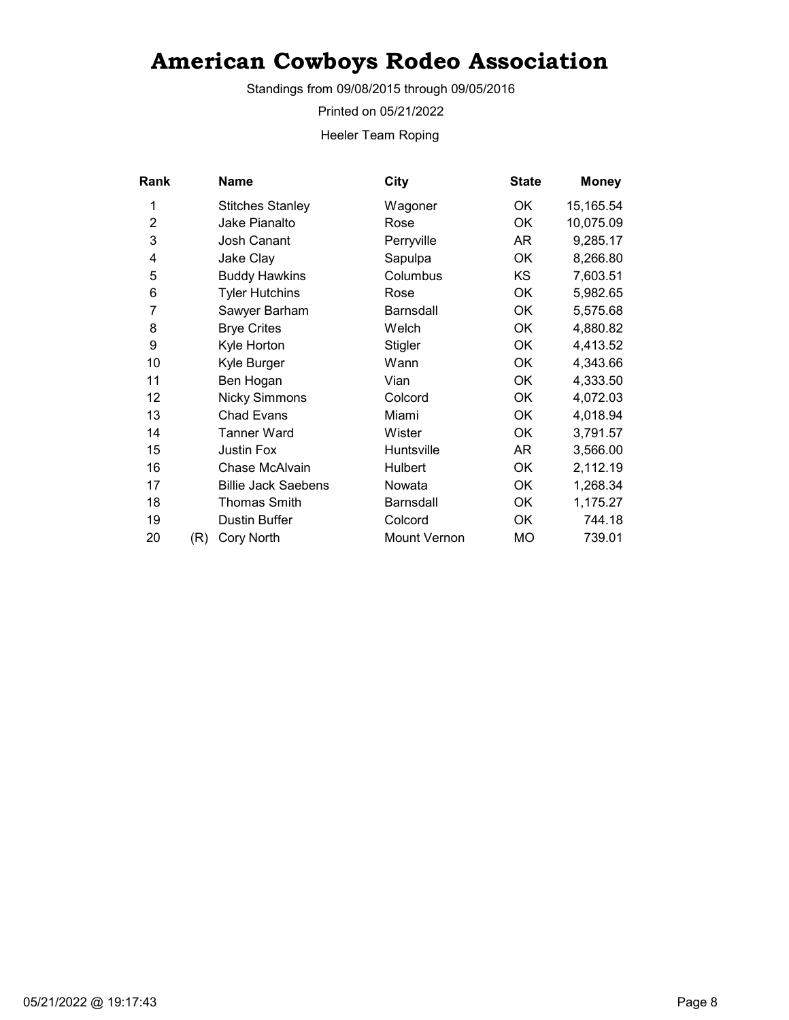Standings from 09/08/2015 through 09/05/2016

Printed on 05/21/2022

Heeler Team Roping

| Rank           |     | <b>Name</b>                | City                | <b>State</b> | <b>Money</b> |
|----------------|-----|----------------------------|---------------------|--------------|--------------|
| 1              |     | <b>Stitches Stanley</b>    | Wagoner             | OK           | 15,165.54    |
| $\overline{2}$ |     | Jake Pianalto              | Rose                | <b>OK</b>    | 10,075.09    |
| 3              |     | Josh Canant                | Perryville          | AR           | 9,285.17     |
| 4              |     | Jake Clay                  | Sapulpa             | ОK           | 8,266.80     |
| 5              |     | <b>Buddy Hawkins</b>       | Columbus            | KS           | 7,603.51     |
| 6              |     | <b>Tyler Hutchins</b>      | Rose                | OK           | 5,982.65     |
| 7              |     | Sawyer Barham              | Barnsdall           | OK           | 5,575.68     |
| 8              |     | <b>Brye Crites</b>         | Welch               | <b>OK</b>    | 4,880.82     |
| 9              |     | Kyle Horton                | Stigler             | 0K           | 4,413.52     |
| 10             |     | Kyle Burger                | Wann                | OK           | 4,343.66     |
| 11             |     | Ben Hogan                  | Vian                | OK           | 4,333.50     |
| 12             |     | <b>Nicky Simmons</b>       | Colcord             | OK           | 4,072.03     |
| 13             |     | <b>Chad Evans</b>          | Miami               | OK           | 4,018.94     |
| 14             |     | Tanner Ward                | Wister              | OK           | 3,791.57     |
| 15             |     | <b>Justin Fox</b>          | Huntsville          | AR           | 3,566.00     |
| 16             |     | Chase McAlvain             | <b>Hulbert</b>      | OK           | 2,112.19     |
| 17             |     | <b>Billie Jack Saebens</b> | Nowata              | <b>OK</b>    | 1,268.34     |
| 18             |     | Thomas Smith               | <b>Barnsdall</b>    | OK           | 1,175.27     |
| 19             |     | <b>Dustin Buffer</b>       | Colcord             | OK           | 744.18       |
| 20             | (R) | <b>Cory North</b>          | <b>Mount Vernon</b> | МO           | 739.01       |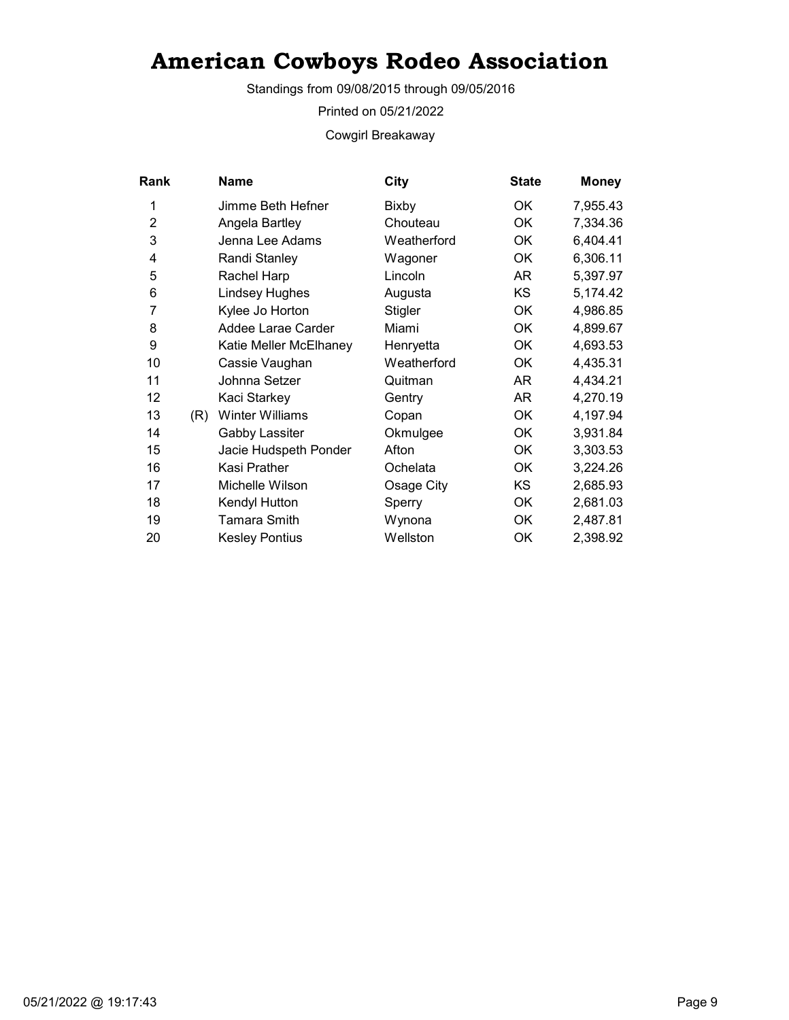Standings from 09/08/2015 through 09/05/2016

Printed on 05/21/2022

Cowgirl Breakaway

| Rank           |     | <b>Name</b>            | City        | <b>State</b> | <b>Money</b> |
|----------------|-----|------------------------|-------------|--------------|--------------|
| 1              |     | Jimme Beth Hefner      | Bixby       | OK           | 7,955.43     |
| $\overline{2}$ |     | Angela Bartley         | Chouteau    | OK           | 7,334.36     |
| 3              |     | Jenna Lee Adams        | Weatherford | ОK           | 6,404.41     |
| 4              |     | Randi Stanley          | Wagoner     | <b>OK</b>    | 6,306.11     |
| 5              |     | Rachel Harp            | Lincoln     | AR           | 5,397.97     |
| 6              |     | <b>Lindsey Hughes</b>  | Augusta     | <b>KS</b>    | 5,174.42     |
| 7              |     | Kylee Jo Horton        | Stigler     | OK           | 4,986.85     |
| 8              |     | Addee Larae Carder     | Miami       | OK           | 4,899.67     |
| 9              |     | Katie Meller McElhaney | Henryetta   | OK           | 4,693.53     |
| 10             |     | Cassie Vaughan         | Weatherford | OK           | 4,435.31     |
| 11             |     | Johnna Setzer          | Quitman     | AR.          | 4,434.21     |
| 12             |     | Kaci Starkey           | Gentry      | AR           | 4,270.19     |
| 13             | (R) | <b>Winter Williams</b> | Copan       | OK           | 4,197.94     |
| 14             |     | Gabby Lassiter         | Okmulgee    | OK           | 3,931.84     |
| 15             |     | Jacie Hudspeth Ponder  | Afton       | ОK           | 3,303.53     |
| 16             |     | Kasi Prather           | Ochelata    | ОK           | 3,224.26     |
| 17             |     | Michelle Wilson        | Osage City  | <b>KS</b>    | 2,685.93     |
| 18             |     | Kendyl Hutton          | Sperry      | OK           | 2,681.03     |
| 19             |     | Tamara Smith           | Wynona      | ОK           | 2,487.81     |
| 20             |     | <b>Kesley Pontius</b>  | Wellston    | OK           | 2,398.92     |